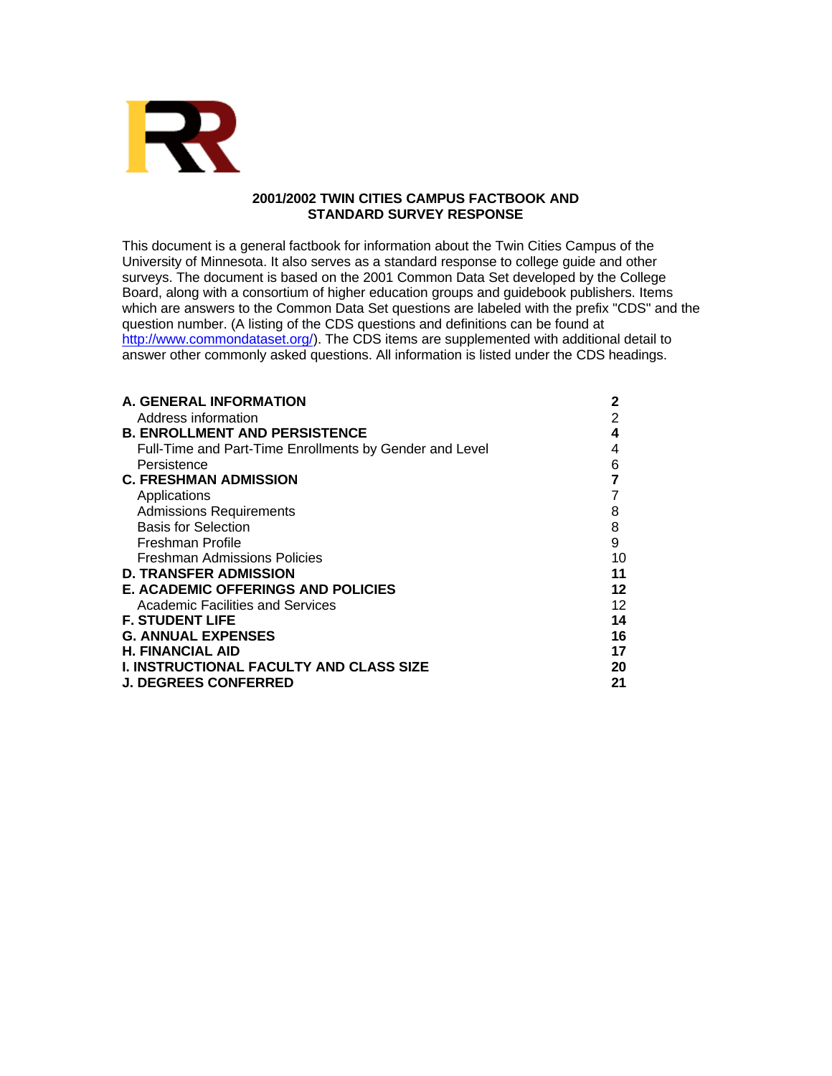

# **2001/2002 TWIN CITIES CAMPUS FACTBOOK AND STANDARD SURVEY RESPONSE**

This document is a general factbook for information about the Twin Cities Campus of the University of Minnesota. It also serves as a standard response to college guide and other surveys. The document is based on the 2001 Common Data Set developed by the College Board, along with a consortium of higher education groups and guidebook publishers. Items which are answers to the Common Data Set questions are labeled with the prefix "CDS" and the question number. (A listing of the CDS questions and definitions can be found at http://www.commondataset.org/). The CDS items are supplemented with additional detail to answer other commonly asked questions. All information is listed under the CDS headings.

| A. GENERAL INFORMATION                                  | 2  |
|---------------------------------------------------------|----|
| Address information                                     | 2  |
| <b>B. ENROLLMENT AND PERSISTENCE</b>                    | 4  |
| Full-Time and Part-Time Enrollments by Gender and Level | 4  |
| Persistence                                             | 6  |
| <b>C. FRESHMAN ADMISSION</b>                            |    |
| Applications                                            |    |
| <b>Admissions Requirements</b>                          | 8  |
| <b>Basis for Selection</b>                              | 8  |
| <b>Freshman Profile</b>                                 | 9  |
| Freshman Admissions Policies                            | 10 |
| <b>D. TRANSFER ADMISSION</b>                            | 11 |
| <b>E. ACADEMIC OFFERINGS AND POLICIES</b>               | 12 |
| <b>Academic Facilities and Services</b>                 | 12 |
| <b>F. STUDENT LIFE</b>                                  | 14 |
| <b>G. ANNUAL EXPENSES</b>                               | 16 |
| <b>H. FINANCIAL AID</b>                                 | 17 |
| <b>I. INSTRUCTIONAL FACULTY AND CLASS SIZE</b>          | 20 |
| <b>J. DEGREES CONFERRED</b>                             | 21 |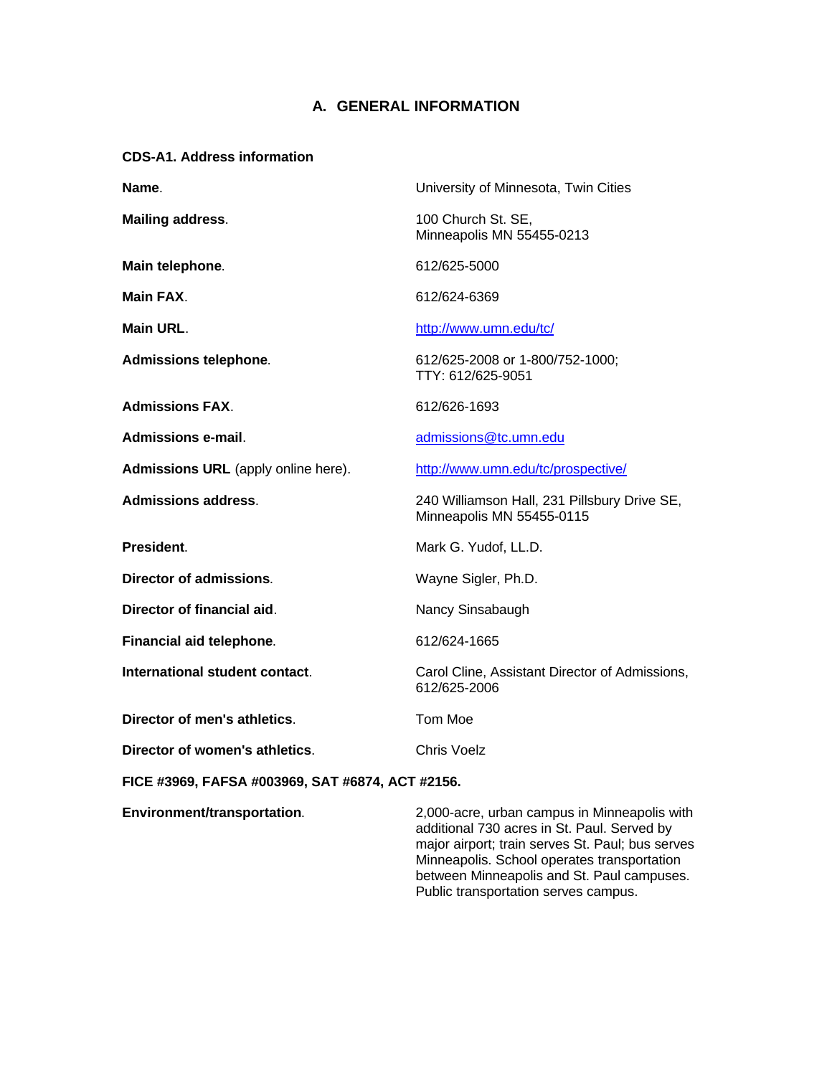# **A. GENERAL INFORMATION**

# **CDS-A1. Address information**

| Name.                                            | University of Minnesota, Twin Cities                                                        |
|--------------------------------------------------|---------------------------------------------------------------------------------------------|
| <b>Mailing address.</b>                          | 100 Church St. SE,<br>Minneapolis MN 55455-0213                                             |
| Main telephone.                                  | 612/625-5000                                                                                |
| Main FAX.                                        | 612/624-6369                                                                                |
| Main URL.                                        | http://www.umn.edu/tc/                                                                      |
| <b>Admissions telephone.</b>                     | 612/625-2008 or 1-800/752-1000;<br>TTY: 612/625-9051                                        |
| <b>Admissions FAX.</b>                           | 612/626-1693                                                                                |
| <b>Admissions e-mail.</b>                        | admissions@tc.umn.edu                                                                       |
| Admissions URL (apply online here).              | http://www.umn.edu/tc/prospective/                                                          |
| <b>Admissions address.</b>                       | 240 Williamson Hall, 231 Pillsbury Drive SE,<br>Minneapolis MN 55455-0115                   |
| President.                                       | Mark G. Yudof, LL.D.                                                                        |
| <b>Director of admissions.</b>                   | Wayne Sigler, Ph.D.                                                                         |
| Director of financial aid.                       | Nancy Sinsabaugh                                                                            |
| Financial aid telephone.                         | 612/624-1665                                                                                |
| International student contact.                   | Carol Cline, Assistant Director of Admissions,<br>612/625-2006                              |
| Director of men's athletics.                     | Tom Moe                                                                                     |
| Director of women's athletics.                   | <b>Chris Voelz</b>                                                                          |
| FICE #3969, FAFSA #003969, SAT #6874, ACT #2156. |                                                                                             |
| Environment/transportation.                      | 2,000-acre, urban campus in Minneapolis with<br>additional 700 cores in Ct. Doul. Comrad bu |

additional 730 acres in St. Paul. Served by major airport; train serves St. Paul; bus serves Minneapolis. School operates transportation between Minneapolis and St. Paul campuses. Public transportation serves campus.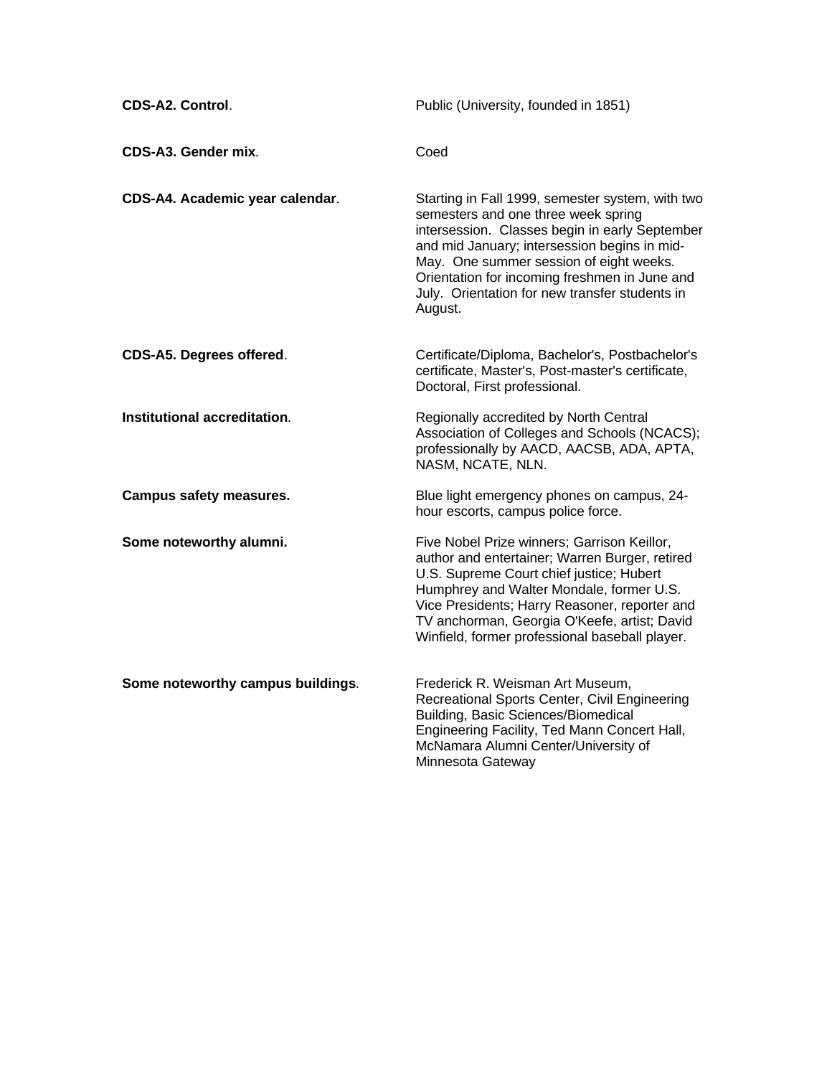| CDS-A2. Control.                  | Public (University, founded in 1851)                                                                                                                                                                                                                                                                                                               |
|-----------------------------------|----------------------------------------------------------------------------------------------------------------------------------------------------------------------------------------------------------------------------------------------------------------------------------------------------------------------------------------------------|
| CDS-A3. Gender mix.               | Coed                                                                                                                                                                                                                                                                                                                                               |
| CDS-A4. Academic year calendar.   | Starting in Fall 1999, semester system, with two<br>semesters and one three week spring<br>intersession. Classes begin in early September<br>and mid January; intersession begins in mid-<br>May. One summer session of eight weeks.<br>Orientation for incoming freshmen in June and<br>July. Orientation for new transfer students in<br>August. |
| CDS-A5. Degrees offered.          | Certificate/Diploma, Bachelor's, Postbachelor's<br>certificate, Master's, Post-master's certificate,<br>Doctoral, First professional.                                                                                                                                                                                                              |
| Institutional accreditation.      | Regionally accredited by North Central<br>Association of Colleges and Schools (NCACS);<br>professionally by AACD, AACSB, ADA, APTA,<br>NASM, NCATE, NLN.                                                                                                                                                                                           |
| <b>Campus safety measures.</b>    | Blue light emergency phones on campus, 24-<br>hour escorts, campus police force.                                                                                                                                                                                                                                                                   |
| Some noteworthy alumni.           | Five Nobel Prize winners; Garrison Keillor,<br>author and entertainer; Warren Burger, retired<br>U.S. Supreme Court chief justice; Hubert<br>Humphrey and Walter Mondale, former U.S.<br>Vice Presidents; Harry Reasoner, reporter and<br>TV anchorman, Georgia O'Keefe, artist; David<br>Winfield, former professional baseball player.           |
| Some noteworthy campus buildings. | Frederick R. Weisman Art Museum,<br>Recreational Sports Center, Civil Engineering<br>Building, Basic Sciences/Biomedical<br>Engineering Facility, Ted Mann Concert Hall,<br>McNamara Alumni Center/University of<br>Minnesota Gateway                                                                                                              |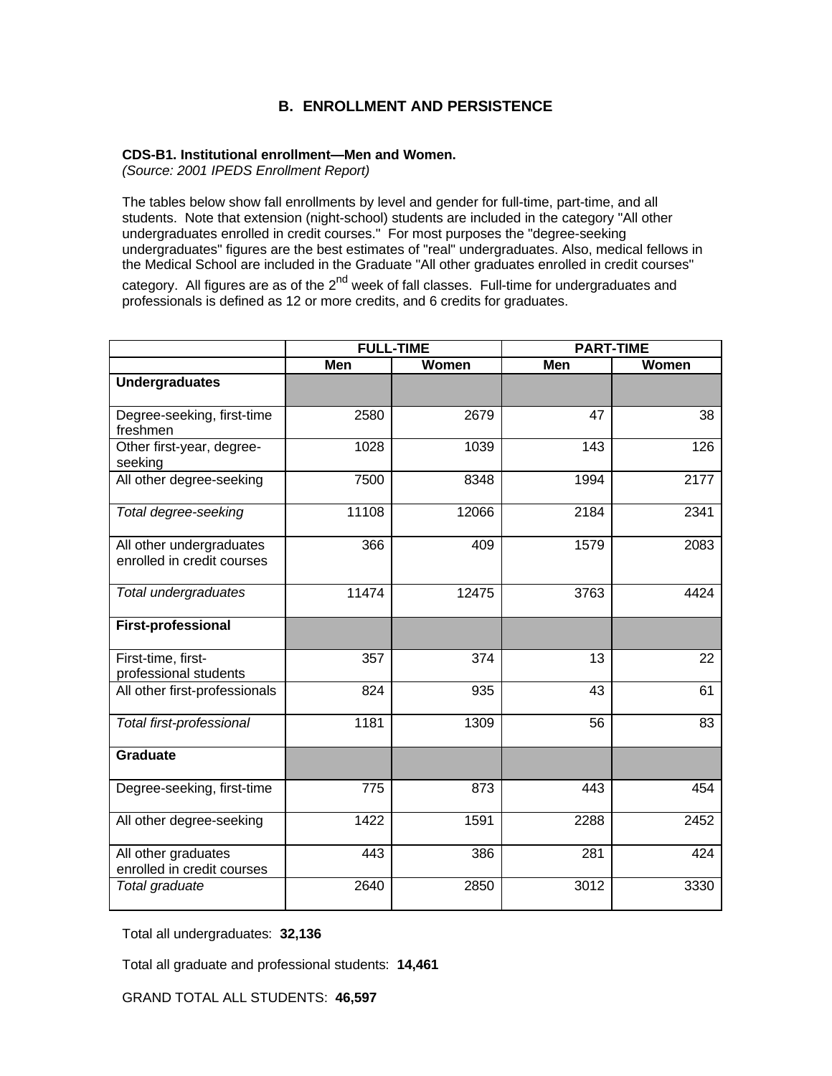# **B. ENROLLMENT AND PERSISTENCE**

# **CDS-B1. Institutional enrollment—Men and Women.**

*(Source: 2001 IPEDS Enrollment Report)*

The tables below show fall enrollments by level and gender for full-time, part-time, and all students. Note that extension (night-school) students are included in the category "All other undergraduates enrolled in credit courses." For most purposes the "degree-seeking undergraduates" figures are the best estimates of "real" undergraduates. Also, medical fellows in the Medical School are included in the Graduate "All other graduates enrolled in credit courses" category. All figures are as of the 2<sup>nd</sup> week of fall classes. Full-time for undergraduates and professionals is defined as 12 or more credits, and 6 credits for graduates.

|                                                        | <b>FULL-TIME</b> |       | <b>PART-TIME</b> |       |
|--------------------------------------------------------|------------------|-------|------------------|-------|
|                                                        | Men              | Women | Men              | Women |
| <b>Undergraduates</b>                                  |                  |       |                  |       |
| Degree-seeking, first-time<br>freshmen                 | 2580             | 2679  | 47               | 38    |
| Other first-year, degree-<br>seeking                   | 1028             | 1039  | 143              | 126   |
| All other degree-seeking                               | 7500             | 8348  | 1994             | 2177  |
| Total degree-seeking                                   | 11108            | 12066 | 2184             | 2341  |
| All other undergraduates<br>enrolled in credit courses | 366              | 409   | 1579             | 2083  |
| Total undergraduates                                   | 11474            | 12475 | 3763             | 4424  |
| <b>First-professional</b>                              |                  |       |                  |       |
| First-time, first-<br>professional students            | 357              | 374   | 13               | 22    |
| All other first-professionals                          | 824              | 935   | 43               | 61    |
| Total first-professional                               | 1181             | 1309  | 56               | 83    |
| Graduate                                               |                  |       |                  |       |
| Degree-seeking, first-time                             | 775              | 873   | 443              | 454   |
| All other degree-seeking                               | 1422             | 1591  | 2288             | 2452  |
| All other graduates<br>enrolled in credit courses      | 443              | 386   | 281              | 424   |
| Total graduate                                         | 2640             | 2850  | 3012             | 3330  |

Total all undergraduates: **32,136**

Total all graduate and professional students: **14,461**

GRAND TOTAL ALL STUDENTS: **46,597**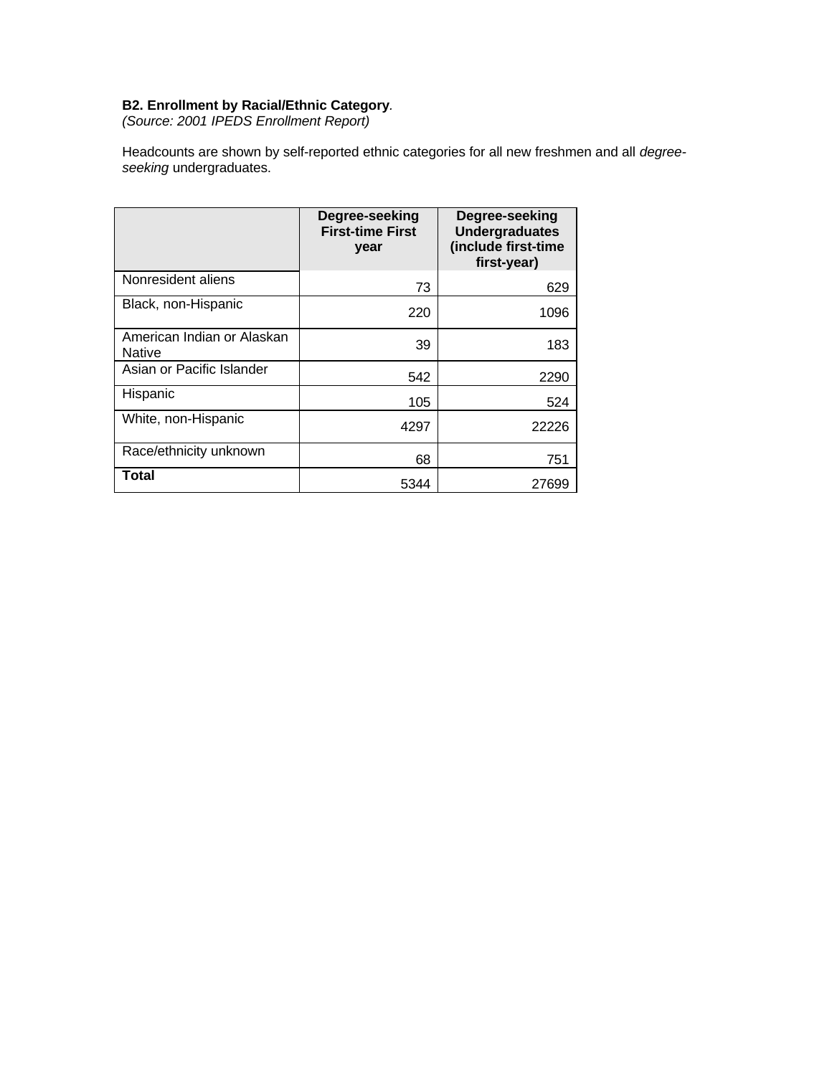# **B2. Enrollment by Racial/Ethnic Category***.*

*(Source: 2001 IPEDS Enrollment Report)*

Headcounts are shown by self-reported ethnic categories for all new freshmen and all *degreeseeking* undergraduates.

|                                             | Degree-seeking<br><b>First-time First</b><br>year | Degree-seeking<br><b>Undergraduates</b><br>(include first-time<br>first-year) |
|---------------------------------------------|---------------------------------------------------|-------------------------------------------------------------------------------|
| Nonresident aliens                          | 73                                                | 629                                                                           |
| Black, non-Hispanic                         | 220                                               | 1096                                                                          |
| American Indian or Alaskan<br><b>Native</b> | 39                                                | 183                                                                           |
| Asian or Pacific Islander                   | 542                                               | 2290                                                                          |
| Hispanic                                    | 105                                               | 524                                                                           |
| White, non-Hispanic                         | 4297                                              | 22226                                                                         |
| Race/ethnicity unknown                      | 68                                                | 751                                                                           |
| Total                                       | 5344                                              | 27699                                                                         |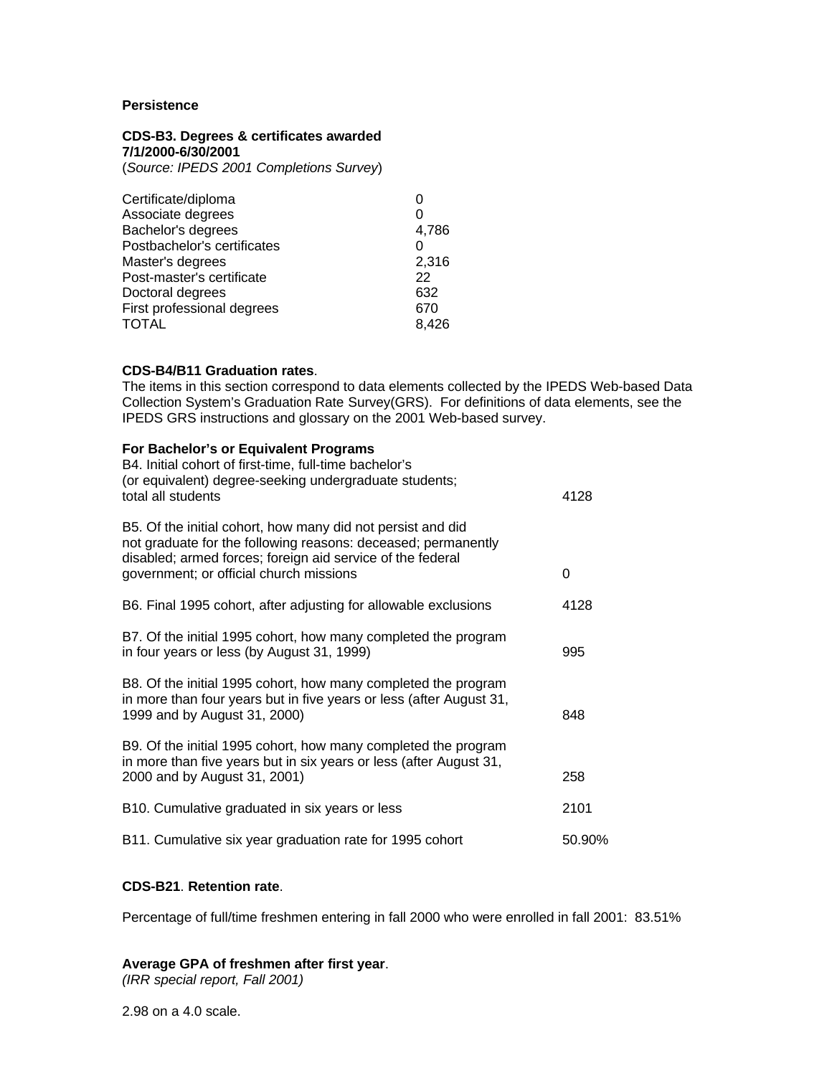# **Persistence**

# **CDS-B3. Degrees & certificates awarded 7/1/2000-6/30/2001**

(*Source: IPEDS 2001 Completions Survey*)

| Certificate/diploma<br>Associate degrees<br>Bachelor's degrees<br>Postbachelor's certificates<br>Master's degrees<br>Post-master's certificate<br>Doctoral degrees | 4,786<br>2,316<br>22<br>632 |
|--------------------------------------------------------------------------------------------------------------------------------------------------------------------|-----------------------------|
| First professional degrees                                                                                                                                         | 670                         |
| TOTAL                                                                                                                                                              | 8.426                       |

# **CDS-B4/B11 Graduation rates**.

The items in this section correspond to data elements collected by the IPEDS Web-based Data Collection System's Graduation Rate Survey(GRS). For definitions of data elements, see the IPEDS GRS instructions and glossary on the 2001 Web-based survey.

| For Bachelor's or Equivalent Programs<br>B4. Initial cohort of first-time, full-time bachelor's<br>(or equivalent) degree-seeking undergraduate students;<br>total all students                                                       | 4128   |
|---------------------------------------------------------------------------------------------------------------------------------------------------------------------------------------------------------------------------------------|--------|
| B5. Of the initial cohort, how many did not persist and did<br>not graduate for the following reasons: deceased; permanently<br>disabled; armed forces; foreign aid service of the federal<br>government; or official church missions | 0      |
| B6. Final 1995 cohort, after adjusting for allowable exclusions                                                                                                                                                                       | 4128   |
| B7. Of the initial 1995 cohort, how many completed the program<br>in four years or less (by August 31, 1999)                                                                                                                          | 995    |
| B8. Of the initial 1995 cohort, how many completed the program<br>in more than four years but in five years or less (after August 31,<br>1999 and by August 31, 2000)                                                                 | 848    |
| B9. Of the initial 1995 cohort, how many completed the program<br>in more than five years but in six years or less (after August 31,<br>2000 and by August 31, 2001)                                                                  | 258    |
| B10. Cumulative graduated in six years or less                                                                                                                                                                                        | 2101   |
| B11. Cumulative six year graduation rate for 1995 cohort                                                                                                                                                                              | 50.90% |

# **CDS-B21**. **Retention rate**.

Percentage of full/time freshmen entering in fall 2000 who were enrolled in fall 2001: 83.51%

# **Average GPA of freshmen after first year**.

*(IRR special report, Fall 2001)*

2.98 on a 4.0 scale.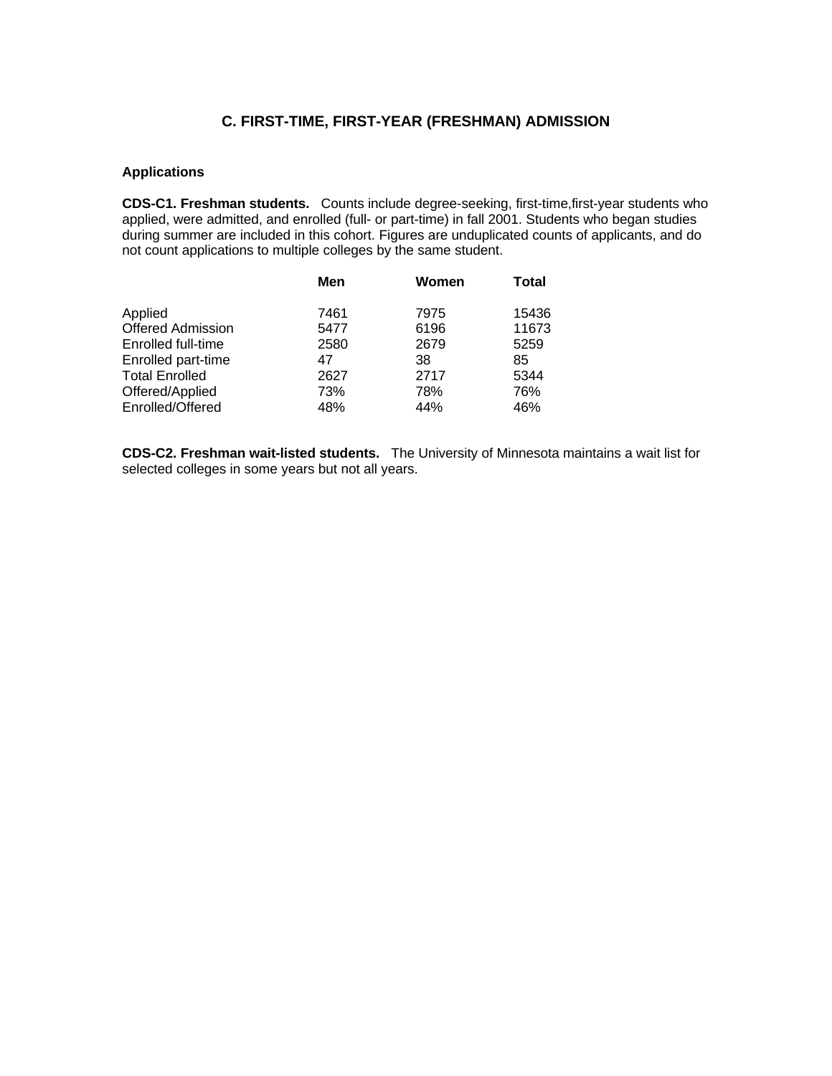# **C. FIRST-TIME, FIRST-YEAR (FRESHMAN) ADMISSION**

# **Applications**

**CDS-C1. Freshman students.** Counts include degree-seeking, first-time,first-year students who applied, were admitted, and enrolled (full- or part-time) in fall 2001. Students who began studies during summer are included in this cohort. Figures are unduplicated counts of applicants, and do not count applications to multiple colleges by the same student.

| 15436        |
|--------------|
| 11673        |
|              |
|              |
|              |
|              |
|              |
| 5259<br>5344 |

**CDS-C2. Freshman wait-listed students.** The University of Minnesota maintains a wait list for selected colleges in some years but not all years.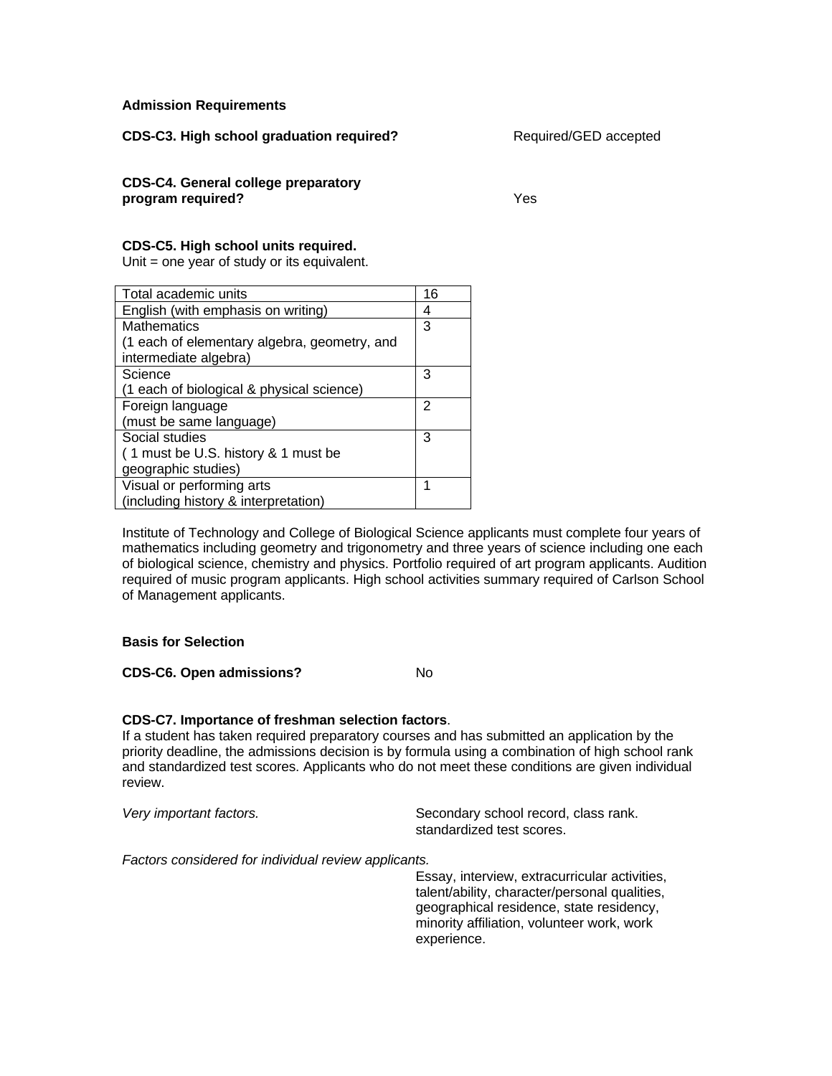# **Admission Requirements**

**CDS-C3. High school graduation required?** Required/GED accepted

**CDS-C4. General college preparatory program required?** Yes

# **CDS-C5. High school units required.**

Unit = one year of study or its equivalent.

| Total academic units                         | 16 |
|----------------------------------------------|----|
| English (with emphasis on writing)           | 4  |
| <b>Mathematics</b>                           | 3  |
| (1 each of elementary algebra, geometry, and |    |
| intermediate algebra)                        |    |
| Science                                      | 3  |
| (1 each of biological & physical science)    |    |
| Foreign language                             | 2  |
| (must be same language)                      |    |
| Social studies                               | 3  |
| (1 must be U.S. history & 1 must be          |    |
| geographic studies)                          |    |
| Visual or performing arts                    | 1  |
| (including history & interpretation)         |    |

Institute of Technology and College of Biological Science applicants must complete four years of mathematics including geometry and trigonometry and three years of science including one each of biological science, chemistry and physics. Portfolio required of art program applicants. Audition required of music program applicants. High school activities summary required of Carlson School of Management applicants.

# **Basis for Selection**

**CDS-C6. Open admissions?** No

# **CDS-C7. Importance of freshman selection factors**.

If a student has taken required preparatory courses and has submitted an application by the priority deadline, the admissions decision is by formula using a combination of high school rank and standardized test scores. Applicants who do not meet these conditions are given individual review.

*Very important factors.* Secondary school record, class rank. standardized test scores.

*Factors considered for individual review applicants.*

Essay, interview, extracurricular activities, talent/ability, character/personal qualities, geographical residence, state residency, minority affiliation, volunteer work, work experience.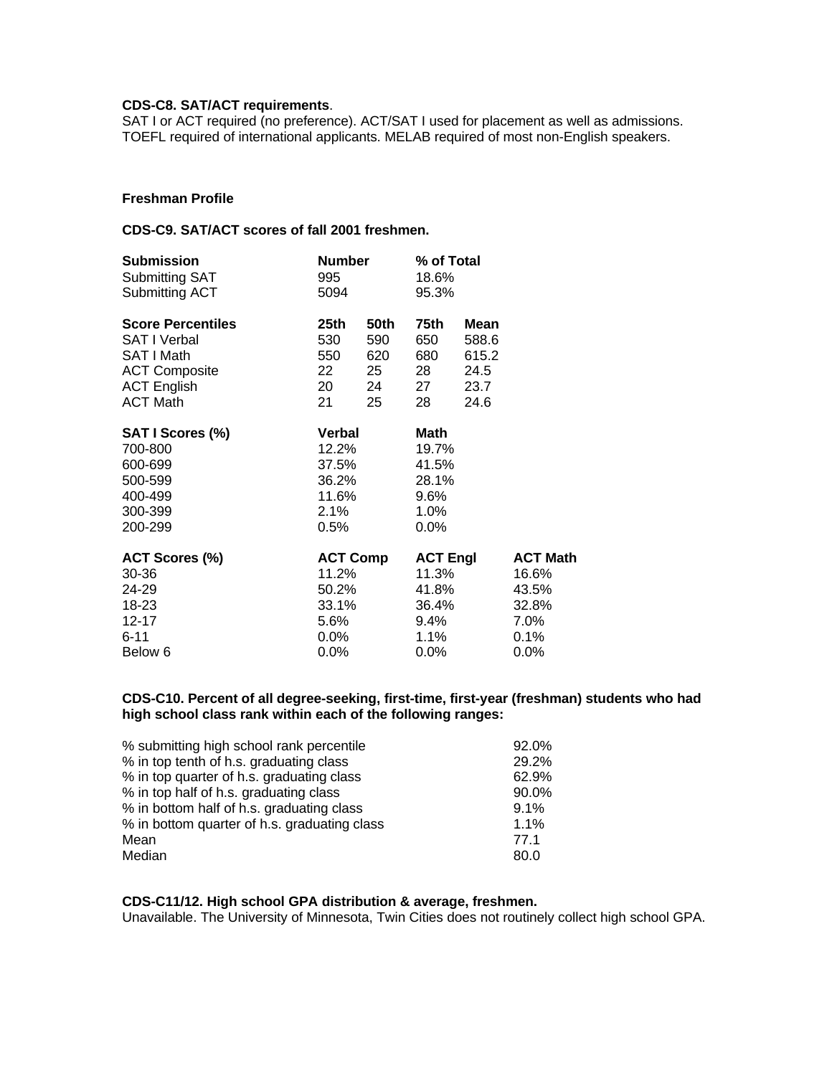# **CDS-C8. SAT/ACT requirements**.

SAT I or ACT required (no preference). ACT/SAT I used for placement as well as admissions. TOEFL required of international applicants. MELAB required of most non-English speakers.

# **Freshman Profile**

# **CDS-C9. SAT/ACT scores of fall 2001 freshmen.**

| <b>Submission</b>        | <b>Number</b>   |      | % of Total      |       |                 |
|--------------------------|-----------------|------|-----------------|-------|-----------------|
| Submitting SAT           | 995             |      | 18.6%           |       |                 |
| Submitting ACT           | 5094            |      | 95.3%           |       |                 |
| <b>Score Percentiles</b> | 25th            | 50th | 75th            | Mean  |                 |
| <b>SAT I Verbal</b>      | 530             | 590  | 650             | 588.6 |                 |
| SAT I Math               | 550             | 620  | 680             | 615.2 |                 |
| <b>ACT Composite</b>     | 22              | 25   | 28              | 24.5  |                 |
| <b>ACT English</b>       | 20              | 24   | 27              | 23.7  |                 |
| <b>ACT Math</b>          | 21              | 25   | 28              | 24.6  |                 |
| SAT I Scores (%)         | <b>Verbal</b>   |      | Math            |       |                 |
| 700-800                  | 12.2%           |      | 19.7%           |       |                 |
| 600-699                  | 37.5%           |      | 41.5%           |       |                 |
| 500-599                  | 36.2%           |      | 28.1%           |       |                 |
| 400-499                  | 11.6%           |      | 9.6%            |       |                 |
| 300-399                  | 2.1%            |      | 1.0%            |       |                 |
| 200-299                  | $0.5\%$         |      | $0.0\%$         |       |                 |
| ACT Scores (%)           | <b>ACT Comp</b> |      | <b>ACT Engl</b> |       | <b>ACT Math</b> |
| 30-36                    | 11.2%           |      | 11.3%           |       | 16.6%           |
| 24-29                    | 50.2%           |      | 41.8%           |       | 43.5%           |
| 18-23                    | 33.1%           |      | 36.4%           |       | 32.8%           |
| 12-17                    | 5.6%            |      | 9.4%            |       | 7.0%            |
| $6 - 11$                 | 0.0%            |      | $1.1\%$         |       | 0.1%            |
| Below 6                  | 0.0%            |      | $0.0\%$         |       | $0.0\%$         |

# **CDS-C10. Percent of all degree-seeking, first-time, first-year (freshman) students who had high school class rank within each of the following ranges:**

| % submitting high school rank percentile     | 92.0%   |
|----------------------------------------------|---------|
| % in top tenth of h.s. graduating class      | 29.2%   |
| % in top quarter of h.s. graduating class    | 62.9%   |
| % in top half of h.s. graduating class       | 90.0%   |
| % in bottom half of h.s. graduating class    | $9.1\%$ |
| % in bottom quarter of h.s. graduating class | $1.1\%$ |
| Mean                                         | 77.1    |
| Median                                       | 80.0    |

# **CDS-C11/12. High school GPA distribution & average, freshmen.**

Unavailable. The University of Minnesota, Twin Cities does not routinely collect high school GPA.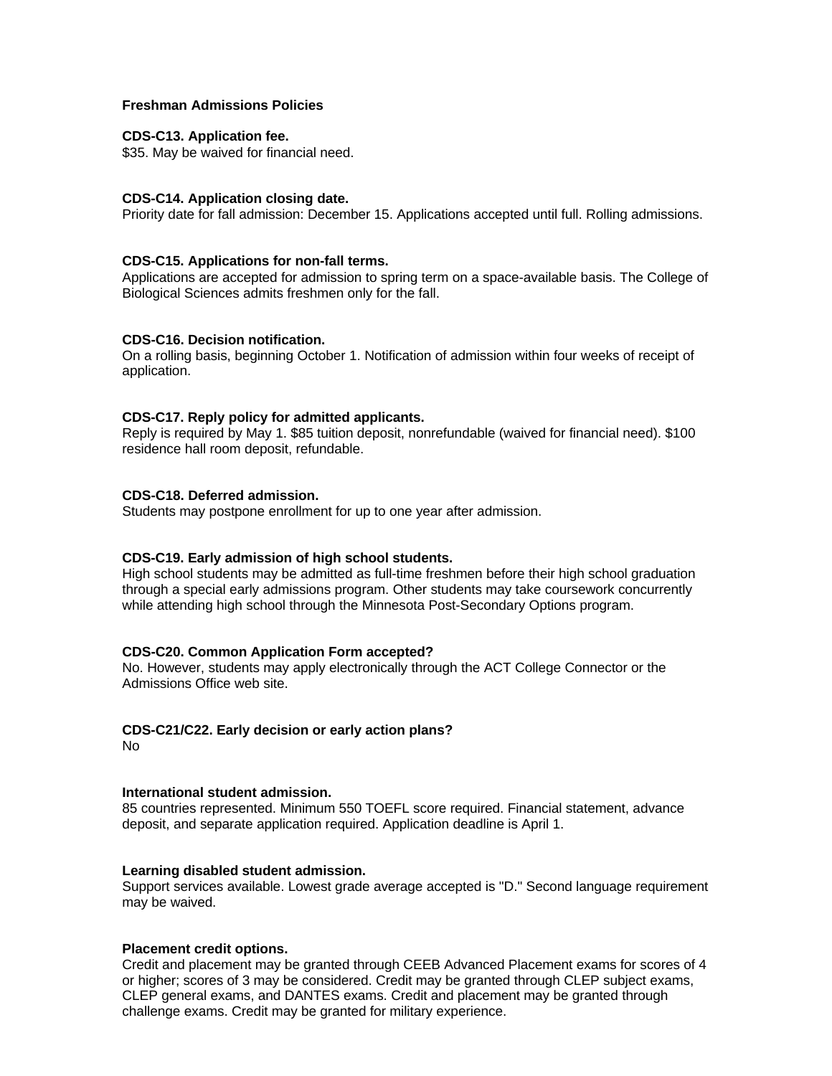# **Freshman Admissions Policies**

### **CDS-C13. Application fee.**

\$35. May be waived for financial need.

# **CDS-C14. Application closing date.**

Priority date for fall admission: December 15. Applications accepted until full. Rolling admissions.

# **CDS-C15. Applications for non-fall terms.**

Applications are accepted for admission to spring term on a space-available basis. The College of Biological Sciences admits freshmen only for the fall.

# **CDS-C16. Decision notification.**

On a rolling basis, beginning October 1. Notification of admission within four weeks of receipt of application.

# **CDS-C17. Reply policy for admitted applicants.**

Reply is required by May 1. \$85 tuition deposit, nonrefundable (waived for financial need). \$100 residence hall room deposit, refundable.

# **CDS-C18. Deferred admission.**

Students may postpone enrollment for up to one year after admission.

# **CDS-C19. Early admission of high school students.**

High school students may be admitted as full-time freshmen before their high school graduation through a special early admissions program. Other students may take coursework concurrently while attending high school through the Minnesota Post-Secondary Options program.

# **CDS-C20. Common Application Form accepted?**

No. However, students may apply electronically through the ACT College Connector or the Admissions Office web site.

# **CDS-C21/C22. Early decision or early action plans?**

No

# **International student admission.**

85 countries represented. Minimum 550 TOEFL score required. Financial statement, advance deposit, and separate application required. Application deadline is April 1.

# **Learning disabled student admission.**

Support services available. Lowest grade average accepted is "D." Second language requirement may be waived.

# **Placement credit options.**

Credit and placement may be granted through CEEB Advanced Placement exams for scores of 4 or higher; scores of 3 may be considered. Credit may be granted through CLEP subject exams, CLEP general exams, and DANTES exams. Credit and placement may be granted through challenge exams. Credit may be granted for military experience.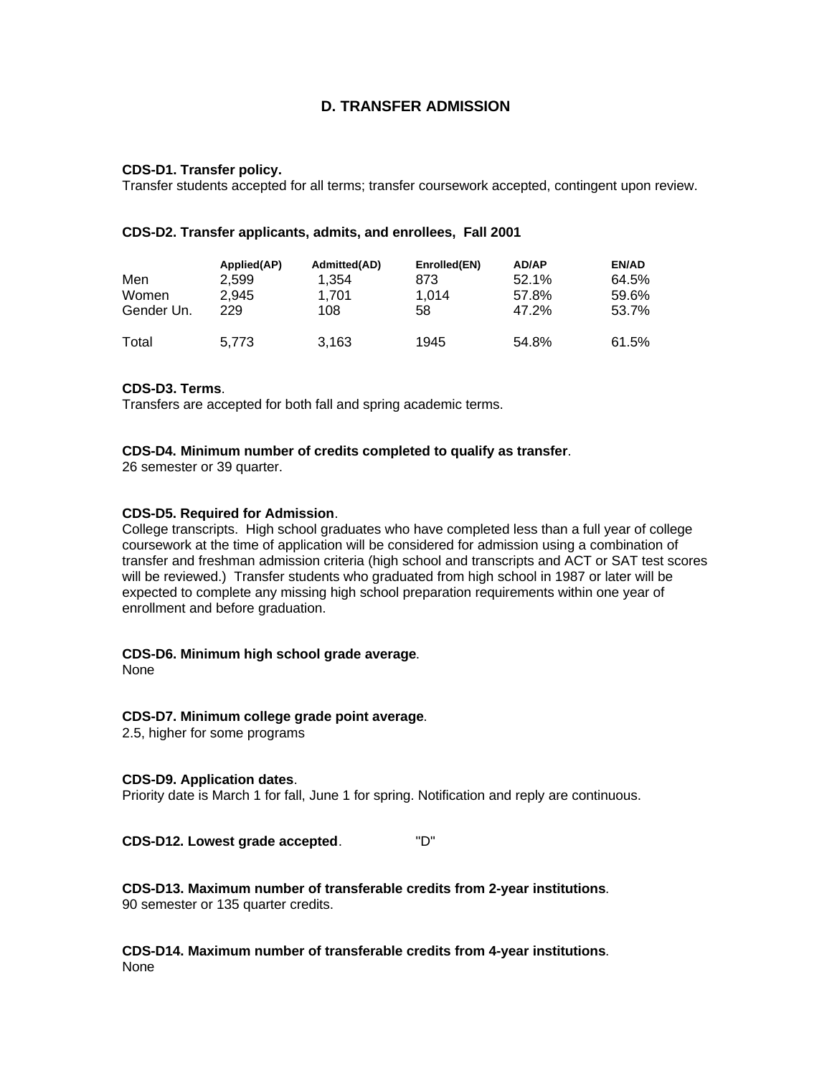# **D. TRANSFER ADMISSION**

# **CDS-D1. Transfer policy.**

Transfer students accepted for all terms; transfer coursework accepted, contingent upon review.

### **CDS-D2. Transfer applicants, admits, and enrollees, Fall 2001**

| Men<br>Women<br>Gender Un. | Applied(AP)<br>2.599<br>2.945<br>229 | Admitted(AD)<br>1.354<br>1.701<br>108 | Enrolled(EN)<br>873<br>1.014<br>58 | AD/AP<br>52.1%<br>57.8%<br>47.2% | EN/AD<br>64.5%<br>59.6%<br>53.7% |
|----------------------------|--------------------------------------|---------------------------------------|------------------------------------|----------------------------------|----------------------------------|
| Total                      | 5.773                                | 3,163                                 | 1945                               | 54.8%                            | 61.5%                            |

# **CDS-D3. Terms**.

Transfers are accepted for both fall and spring academic terms.

#### **CDS-D4. Minimum number of credits completed to qualify as transfer**.

26 semester or 39 quarter.

#### **CDS-D5. Required for Admission**.

College transcripts. High school graduates who have completed less than a full year of college coursework at the time of application will be considered for admission using a combination of transfer and freshman admission criteria (high school and transcripts and ACT or SAT test scores will be reviewed.) Transfer students who graduated from high school in 1987 or later will be expected to complete any missing high school preparation requirements within one year of enrollment and before graduation.

# **CDS-D6. Minimum high school grade average**.

None

# **CDS-D7. Minimum college grade point average**.

2.5, higher for some programs

#### **CDS-D9. Application dates**.

Priority date is March 1 for fall, June 1 for spring. Notification and reply are continuous.

**CDS-D12. Lowest grade accepted**. "D"

**CDS-D13. Maximum number of transferable credits from 2-year institutions**. 90 semester or 135 quarter credits.

**CDS-D14. Maximum number of transferable credits from 4-year institutions**. None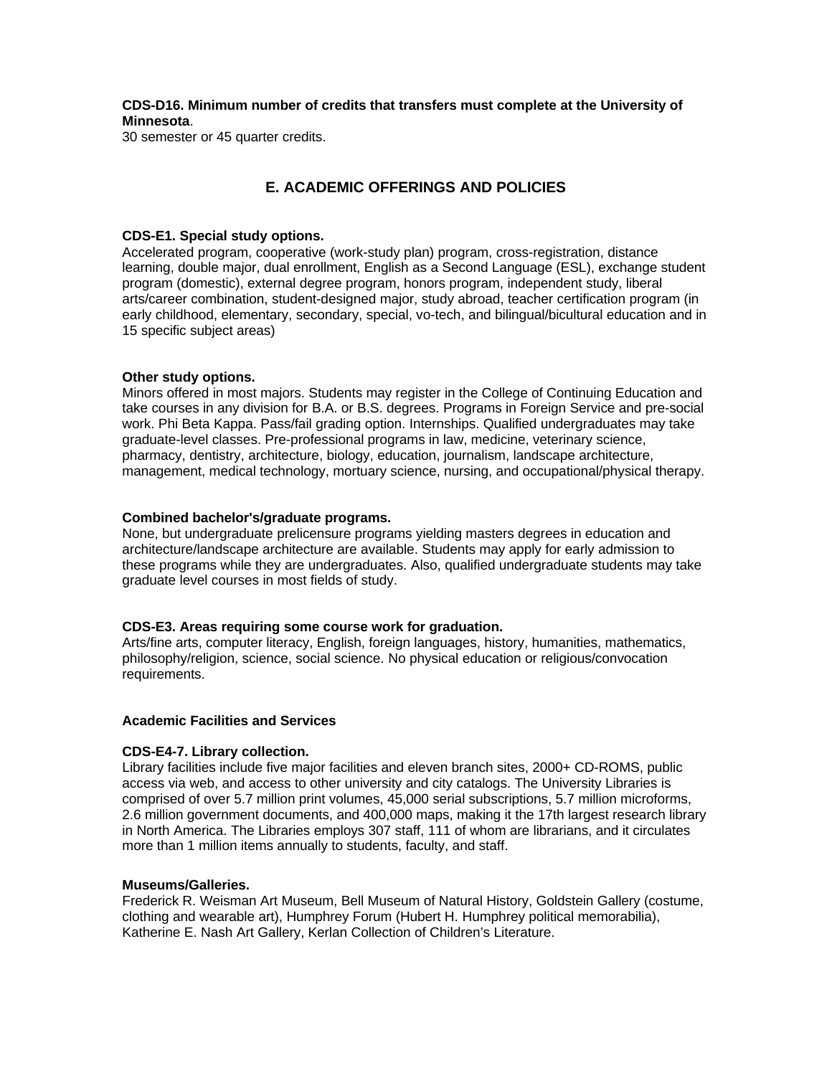**CDS-D16. Minimum number of credits that transfers must complete at the University of Minnesota**.

30 semester or 45 quarter credits.

# **E. ACADEMIC OFFERINGS AND POLICIES**

# **CDS-E1. Special study options.**

Accelerated program, cooperative (work-study plan) program, cross-registration, distance learning, double major, dual enrollment, English as a Second Language (ESL), exchange student program (domestic), external degree program, honors program, independent study, liberal arts/career combination, student-designed major, study abroad, teacher certification program (in early childhood, elementary, secondary, special, vo-tech, and bilingual/bicultural education and in 15 specific subject areas)

# **Other study options.**

Minors offered in most majors. Students may register in the College of Continuing Education and take courses in any division for B.A. or B.S. degrees. Programs in Foreign Service and pre-social work. Phi Beta Kappa. Pass/fail grading option. Internships. Qualified undergraduates may take graduate-level classes. Pre-professional programs in law, medicine, veterinary science, pharmacy, dentistry, architecture, biology, education, journalism, landscape architecture, management, medical technology, mortuary science, nursing, and occupational/physical therapy.

# **Combined bachelor's/graduate programs.**

None, but undergraduate prelicensure programs yielding masters degrees in education and architecture/landscape architecture are available. Students may apply for early admission to these programs while they are undergraduates. Also, qualified undergraduate students may take graduate level courses in most fields of study.

# **CDS-E3. Areas requiring some course work for graduation.**

Arts/fine arts, computer literacy, English, foreign languages, history, humanities, mathematics, philosophy/religion, science, social science. No physical education or religious/convocation requirements.

# **Academic Facilities and Services**

# **CDS-E4-7. Library collection.**

Library facilities include five major facilities and eleven branch sites, 2000+ CD-ROMS, public access via web, and access to other university and city catalogs. The University Libraries is comprised of over 5.7 million print volumes, 45,000 serial subscriptions, 5.7 million microforms, 2.6 million government documents, and 400,000 maps, making it the 17th largest research library in North America. The Libraries employs 307 staff, 111 of whom are librarians, and it circulates more than 1 million items annually to students, faculty, and staff.

# **Museums/Galleries.**

Frederick R. Weisman Art Museum, Bell Museum of Natural History, Goldstein Gallery (costume, clothing and wearable art), Humphrey Forum (Hubert H. Humphrey political memorabilia), Katherine E. Nash Art Gallery, Kerlan Collection of Children's Literature.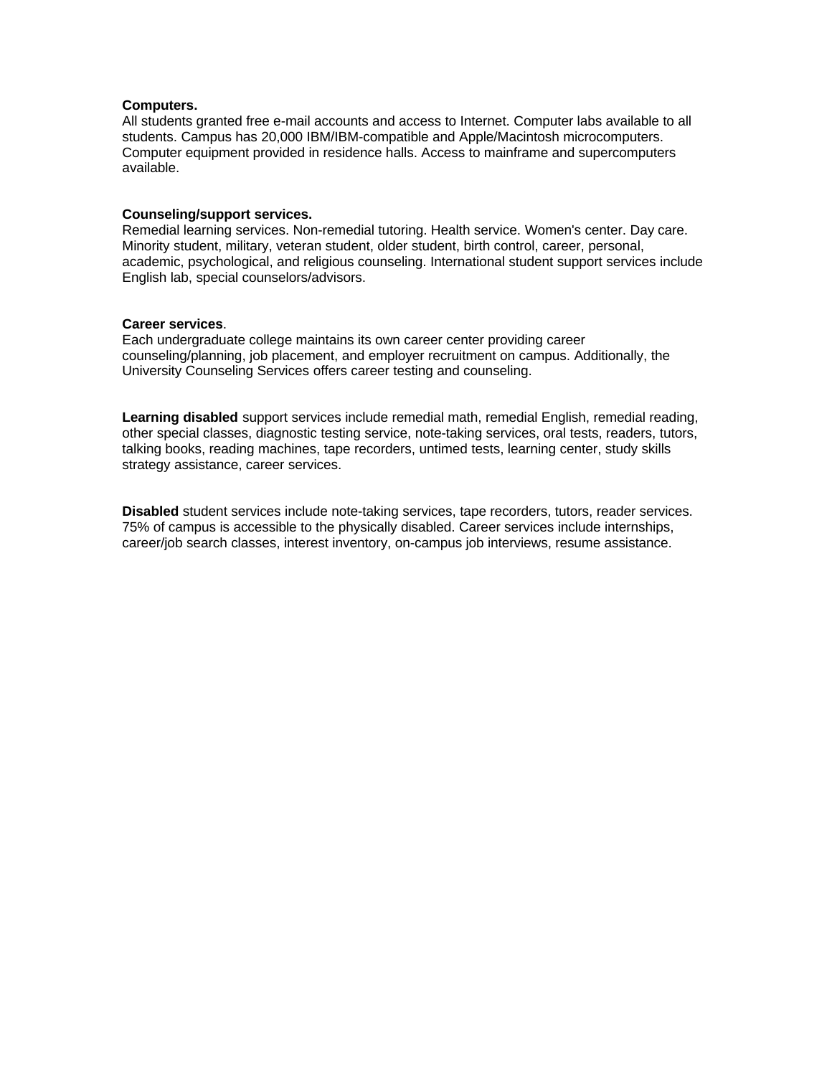### **Computers.**

All students granted free e-mail accounts and access to Internet. Computer labs available to all students. Campus has 20,000 IBM/IBM-compatible and Apple/Macintosh microcomputers. Computer equipment provided in residence halls. Access to mainframe and supercomputers available.

### **Counseling/support services.**

Remedial learning services. Non-remedial tutoring. Health service. Women's center. Day care. Minority student, military, veteran student, older student, birth control, career, personal, academic, psychological, and religious counseling. International student support services include English lab, special counselors/advisors.

#### **Career services**.

Each undergraduate college maintains its own career center providing career counseling/planning, job placement, and employer recruitment on campus. Additionally, the University Counseling Services offers career testing and counseling.

**Learning disabled** support services include remedial math, remedial English, remedial reading, other special classes, diagnostic testing service, note-taking services, oral tests, readers, tutors, talking books, reading machines, tape recorders, untimed tests, learning center, study skills strategy assistance, career services.

**Disabled** student services include note-taking services, tape recorders, tutors, reader services. 75% of campus is accessible to the physically disabled. Career services include internships, career/job search classes, interest inventory, on-campus job interviews, resume assistance.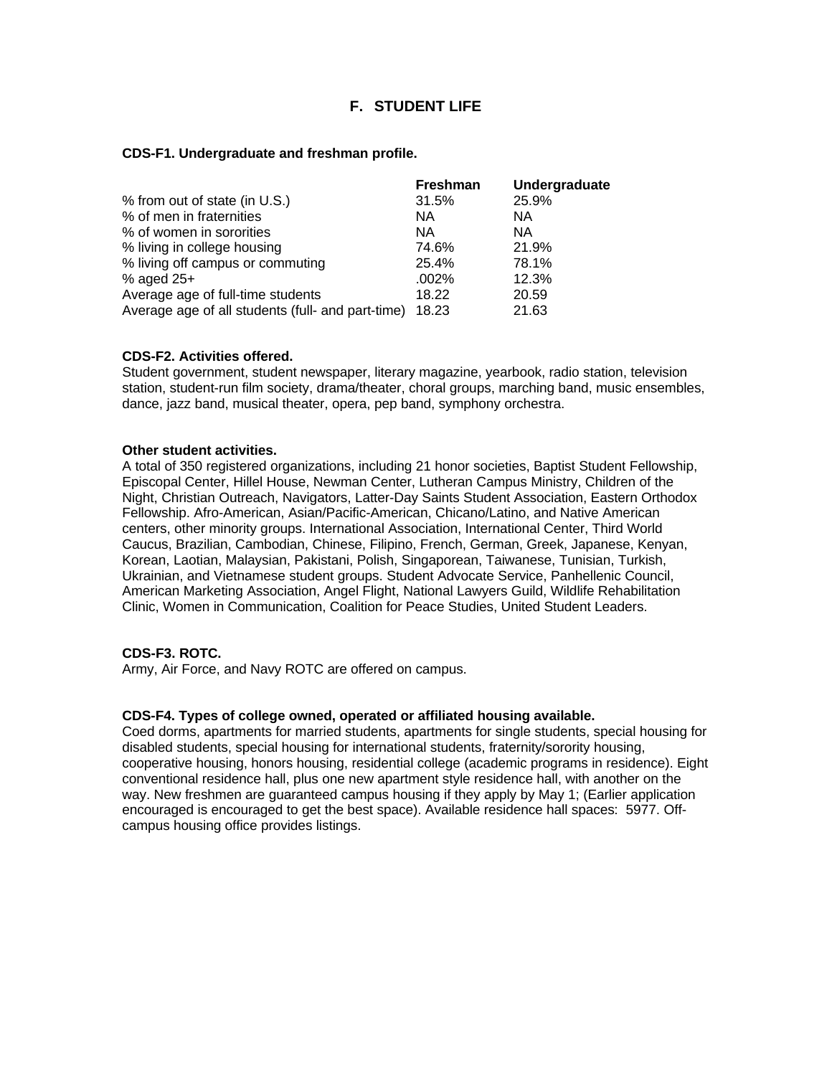# **F. STUDENT LIFE**

### **CDS-F1. Undergraduate and freshman profile.**

|                                                   | <b>Freshman</b> | Undergraduate |
|---------------------------------------------------|-----------------|---------------|
| % from out of state (in U.S.)                     | 31.5%           | 25.9%         |
| % of men in fraternities                          | NA.             | NA.           |
| % of women in sororities                          | NA.             | NA.           |
| % living in college housing                       | 74.6%           | 21.9%         |
| % living off campus or commuting                  | 25.4%           | 78.1%         |
| $%$ aged 25+                                      | .002%           | 12.3%         |
| Average age of full-time students                 | 18.22           | 20.59         |
| Average age of all students (full- and part-time) | 18.23           | 21.63         |

#### **CDS-F2. Activities offered.**

Student government, student newspaper, literary magazine, yearbook, radio station, television station, student-run film society, drama/theater, choral groups, marching band, music ensembles, dance, jazz band, musical theater, opera, pep band, symphony orchestra.

#### **Other student activities.**

A total of 350 registered organizations, including 21 honor societies, Baptist Student Fellowship, Episcopal Center, Hillel House, Newman Center, Lutheran Campus Ministry, Children of the Night, Christian Outreach, Navigators, Latter-Day Saints Student Association, Eastern Orthodox Fellowship. Afro-American, Asian/Pacific-American, Chicano/Latino, and Native American centers, other minority groups. International Association, International Center, Third World Caucus, Brazilian, Cambodian, Chinese, Filipino, French, German, Greek, Japanese, Kenyan, Korean, Laotian, Malaysian, Pakistani, Polish, Singaporean, Taiwanese, Tunisian, Turkish, Ukrainian, and Vietnamese student groups. Student Advocate Service, Panhellenic Council, American Marketing Association, Angel Flight, National Lawyers Guild, Wildlife Rehabilitation Clinic, Women in Communication, Coalition for Peace Studies, United Student Leaders.

# **CDS-F3. ROTC.**

Army, Air Force, and Navy ROTC are offered on campus.

# **CDS-F4. Types of college owned, operated or affiliated housing available.**

Coed dorms, apartments for married students, apartments for single students, special housing for disabled students, special housing for international students, fraternity/sorority housing, cooperative housing, honors housing, residential college (academic programs in residence). Eight conventional residence hall, plus one new apartment style residence hall, with another on the way. New freshmen are guaranteed campus housing if they apply by May 1; (Earlier application encouraged is encouraged to get the best space). Available residence hall spaces: 5977. Offcampus housing office provides listings.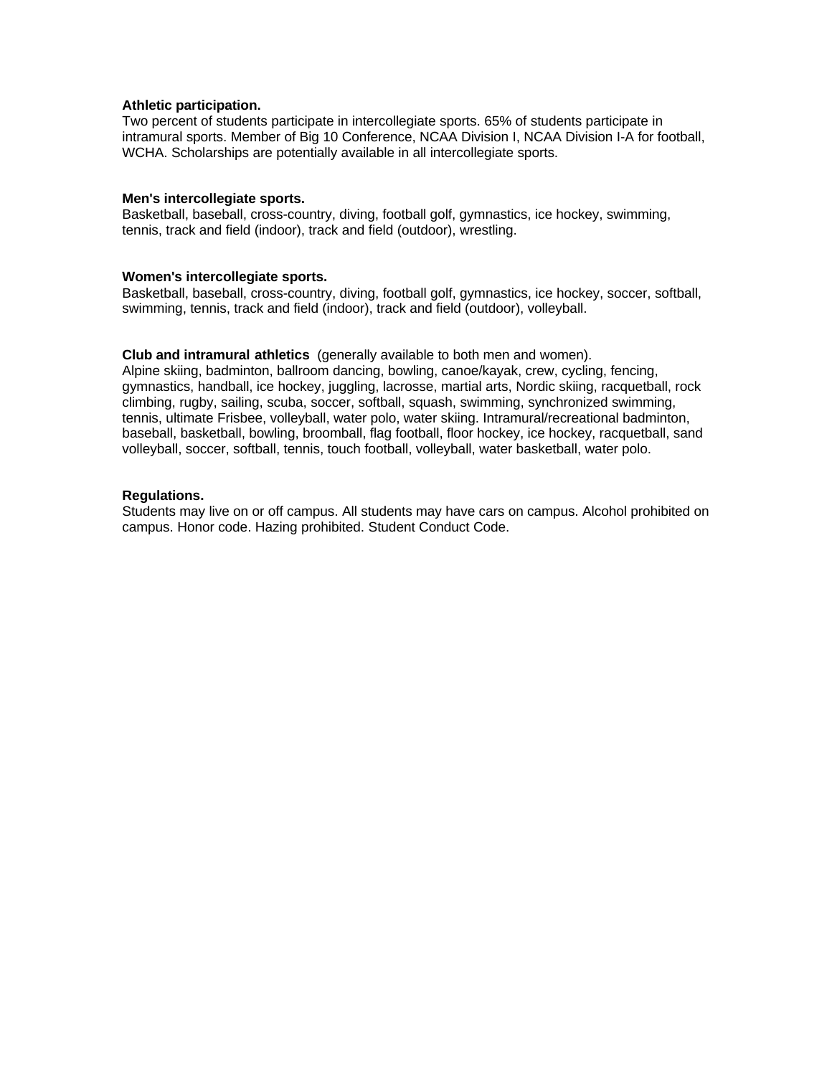# **Athletic participation.**

Two percent of students participate in intercollegiate sports. 65% of students participate in intramural sports. Member of Big 10 Conference, NCAA Division I, NCAA Division I-A for football, WCHA. Scholarships are potentially available in all intercollegiate sports.

#### **Men's intercollegiate sports.**

Basketball, baseball, cross-country, diving, football golf, gymnastics, ice hockey, swimming, tennis, track and field (indoor), track and field (outdoor), wrestling.

#### **Women's intercollegiate sports.**

Basketball, baseball, cross-country, diving, football golf, gymnastics, ice hockey, soccer, softball, swimming, tennis, track and field (indoor), track and field (outdoor), volleyball.

#### **Club and intramural athletics** (generally available to both men and women).

Alpine skiing, badminton, ballroom dancing, bowling, canoe/kayak, crew, cycling, fencing, gymnastics, handball, ice hockey, juggling, lacrosse, martial arts, Nordic skiing, racquetball, rock climbing, rugby, sailing, scuba, soccer, softball, squash, swimming, synchronized swimming, tennis, ultimate Frisbee, volleyball, water polo, water skiing. Intramural/recreational badminton, baseball, basketball, bowling, broomball, flag football, floor hockey, ice hockey, racquetball, sand volleyball, soccer, softball, tennis, touch football, volleyball, water basketball, water polo.

#### **Regulations.**

Students may live on or off campus. All students may have cars on campus. Alcohol prohibited on campus. Honor code. Hazing prohibited. Student Conduct Code.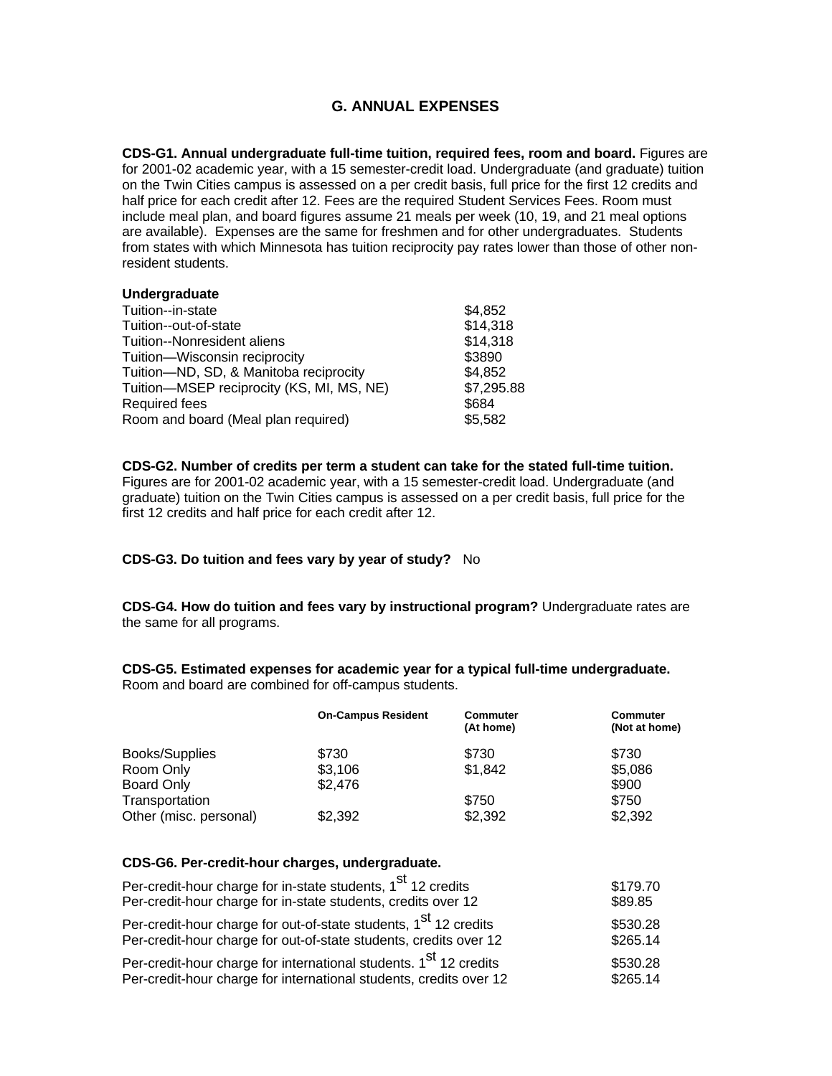# **G. ANNUAL EXPENSES**

**CDS-G1. Annual undergraduate full-time tuition, required fees, room and board.** Figures are for 2001-02 academic year, with a 15 semester-credit load. Undergraduate (and graduate) tuition on the Twin Cities campus is assessed on a per credit basis, full price for the first 12 credits and half price for each credit after 12. Fees are the required Student Services Fees. Room must include meal plan, and board figures assume 21 meals per week (10, 19, and 21 meal options are available). Expenses are the same for freshmen and for other undergraduates. Students from states with which Minnesota has tuition reciprocity pay rates lower than those of other nonresident students.

| Undergraduate                             |            |
|-------------------------------------------|------------|
| Tuition--in-state                         | \$4,852    |
| Tuition--out-of-state                     | \$14,318   |
| Tuition--Nonresident aliens               | \$14,318   |
| Tuition-Wisconsin reciprocity             | \$3890     |
| Tuition-ND, SD, & Manitoba reciprocity    | \$4,852    |
| Tuition-MSEP reciprocity (KS, MI, MS, NE) | \$7,295.88 |
| <b>Required fees</b>                      | \$684      |
| Room and board (Meal plan required)       | \$5,582    |
|                                           |            |

**Undergraduate**

**CDS-G2. Number of credits per term a student can take for the stated full-time tuition.** Figures are for 2001-02 academic year, with a 15 semester-credit load. Undergraduate (and graduate) tuition on the Twin Cities campus is assessed on a per credit basis, full price for the first 12 credits and half price for each credit after 12.

# **CDS-G3. Do tuition and fees vary by year of study?** No

**CDS-G4. How do tuition and fees vary by instructional program?** Undergraduate rates are the same for all programs.

**CDS-G5. Estimated expenses for academic year for a typical full-time undergraduate.** Room and board are combined for off-campus students.

|                        | <b>On-Campus Resident</b> | <b>Commuter</b><br>(At home) | <b>Commuter</b><br>(Not at home) |
|------------------------|---------------------------|------------------------------|----------------------------------|
| Books/Supplies         | \$730                     | \$730                        | \$730                            |
| Room Only              | \$3,106                   | \$1,842                      | \$5,086                          |
| Board Only             | \$2,476                   |                              | \$900                            |
| Transportation         |                           | \$750                        | \$750                            |
| Other (misc. personal) | \$2,392                   | \$2,392                      | \$2,392                          |

# **CDS-G6. Per-credit-hour charges, undergraduate.**

| Per-credit-hour charge for in-state students, 1 <sup>st</sup> 12 credits      | \$179.70 |
|-------------------------------------------------------------------------------|----------|
| Per-credit-hour charge for in-state students, credits over 12                 | \$89.85  |
| Per-credit-hour charge for out-of-state students, 1 <sup>st</sup> 12 credits  | \$530.28 |
| Per-credit-hour charge for out-of-state students, credits over 12             | \$265.14 |
| Per-credit-hour charge for international students. 1 <sup>st</sup> 12 credits | \$530.28 |
| Per-credit-hour charge for international students, credits over 12            | \$265.14 |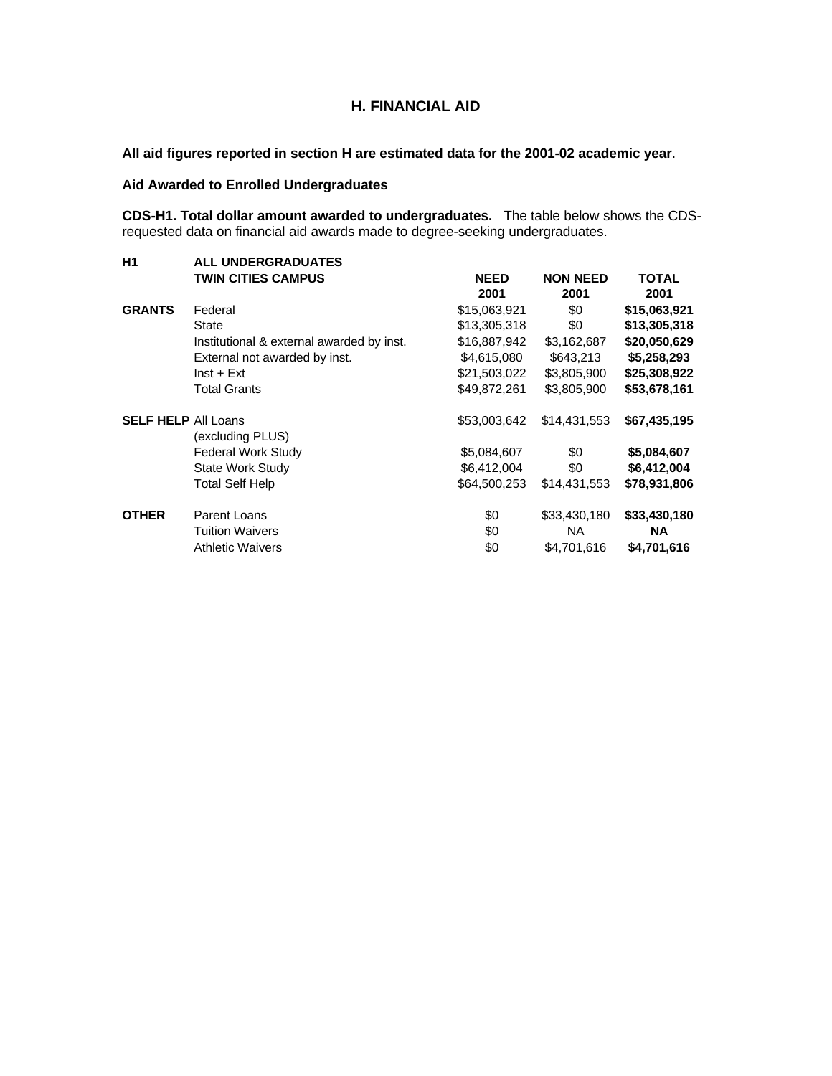# **H. FINANCIAL AID**

**All aid figures reported in section H are estimated data for the 2001-02 academic year**.

# **Aid Awarded to Enrolled Undergraduates**

**CDS-H1. Total dollar amount awarded to undergraduates.** The table below shows the CDSrequested data on financial aid awards made to degree-seeking undergraduates.

| H1                         | <b>ALL UNDERGRADUATES</b>                 |              |                 |              |  |  |  |  |
|----------------------------|-------------------------------------------|--------------|-----------------|--------------|--|--|--|--|
|                            | <b>TWIN CITIES CAMPUS</b>                 | <b>NEED</b>  | <b>NON NEED</b> | <b>TOTAL</b> |  |  |  |  |
|                            |                                           | 2001         | 2001            | 2001         |  |  |  |  |
| <b>GRANTS</b>              | Federal                                   | \$15,063,921 | \$0             | \$15,063,921 |  |  |  |  |
|                            | State                                     | \$13,305,318 | \$0             | \$13,305,318 |  |  |  |  |
|                            | Institutional & external awarded by inst. | \$16,887,942 | \$3,162,687     | \$20,050,629 |  |  |  |  |
|                            | External not awarded by inst.             | \$4,615,080  | \$643,213       | \$5,258,293  |  |  |  |  |
|                            | $Inst + Ext$                              | \$21,503,022 | \$3,805,900     | \$25,308,922 |  |  |  |  |
|                            | <b>Total Grants</b>                       | \$49,872,261 | \$3,805,900     | \$53,678,161 |  |  |  |  |
| <b>SELF HELP All Loans</b> |                                           | \$53,003,642 | \$14,431,553    | \$67,435,195 |  |  |  |  |
|                            | (excluding PLUS)                          |              |                 |              |  |  |  |  |
|                            | <b>Federal Work Study</b>                 | \$5,084,607  | \$0             | \$5,084,607  |  |  |  |  |
|                            | <b>State Work Study</b>                   | \$6,412,004  | \$0             | \$6,412,004  |  |  |  |  |
|                            | Total Self Help                           | \$64,500,253 | \$14,431,553    | \$78,931,806 |  |  |  |  |
| <b>OTHER</b>               | Parent Loans                              | \$0          | \$33,430,180    | \$33,430,180 |  |  |  |  |
|                            | <b>Tuition Waivers</b>                    | \$0          | NA.             | <b>NA</b>    |  |  |  |  |
|                            | <b>Athletic Waivers</b>                   | \$0          | \$4,701,616     | \$4,701,616  |  |  |  |  |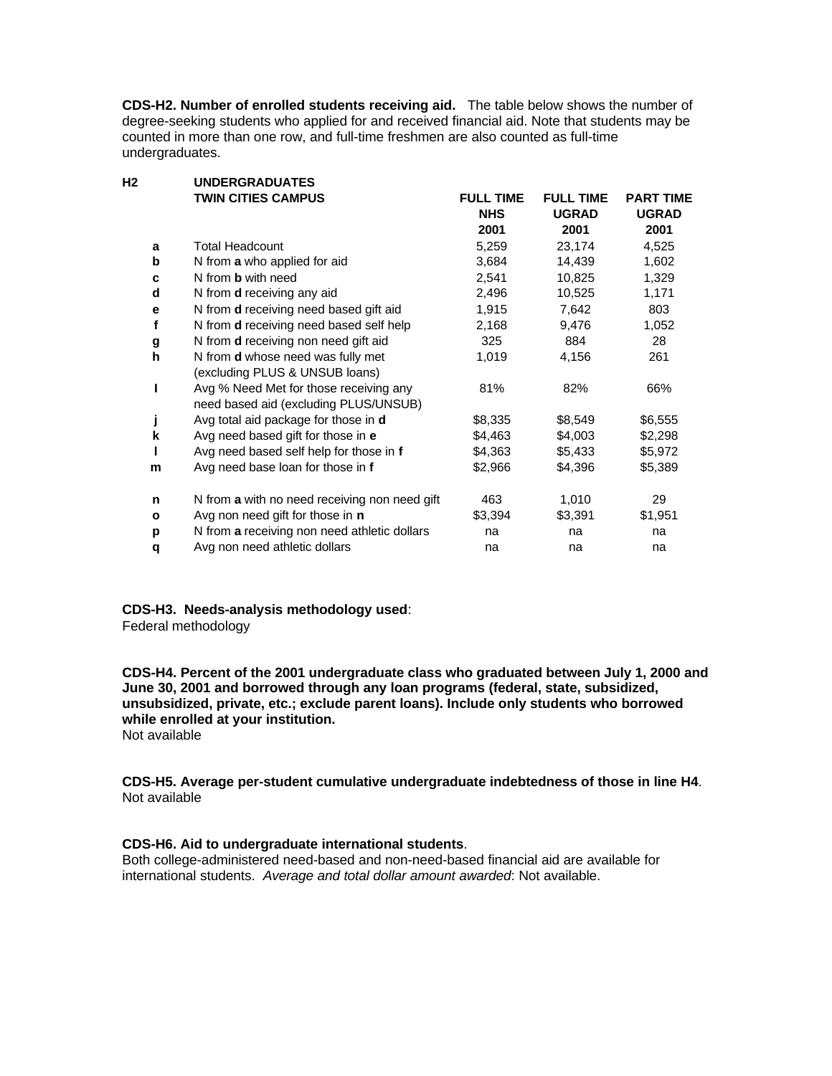**CDS-H2. Number of enrolled students receiving aid.** The table below shows the number of degree-seeking students who applied for and received financial aid. Note that students may be counted in more than one row, and full-time freshmen are also counted as full-time undergraduates.

|              | <b>UNDERGRADUATES</b>                         |                                                                                  |                                  |                                  |  |
|--------------|-----------------------------------------------|----------------------------------------------------------------------------------|----------------------------------|----------------------------------|--|
|              | <b>TWIN CITIES CAMPUS</b>                     | <b>FULL TIME</b><br><b>NHS</b>                                                   | <b>FULL TIME</b><br><b>UGRAD</b> | <b>PART TIME</b><br><b>UGRAD</b> |  |
|              |                                               | 2001                                                                             | 2001                             | 2001                             |  |
| a            | <b>Total Headcount</b>                        | 5,259                                                                            | 23,174                           | 4,525                            |  |
| b            | N from a who applied for aid                  | 3,684                                                                            | 14,439                           | 1,602                            |  |
| c            | N from <b>b</b> with need                     | 2,541                                                                            | 10,825                           | 1,329                            |  |
| d            | N from <b>d</b> receiving any aid             | 2,496                                                                            | 10,525                           | 1,171                            |  |
| е            | N from <b>d</b> receiving need based gift aid | 1,915                                                                            | 7,642                            | 803                              |  |
| f            |                                               | 2,168                                                                            | 9,476                            | 1,052                            |  |
|              | N from <b>d</b> receiving non need gift aid   | 325                                                                              | 884                              | 28                               |  |
| h            | N from <b>d</b> whose need was fully met      | 1,019                                                                            | 4,156                            | 261                              |  |
|              |                                               |                                                                                  |                                  |                                  |  |
| I            | Avg % Need Met for those receiving any        | 81%                                                                              | 82%                              | 66%                              |  |
|              | need based aid (excluding PLUS/UNSUB)         |                                                                                  |                                  |                                  |  |
|              | Avg total aid package for those in d          | \$8,335                                                                          | \$8,549                          | \$6,555                          |  |
| k            | Avg need based gift for those in e            | \$4,463                                                                          | \$4,003                          | \$2,298                          |  |
| Т            | Avg need based self help for those in f       | \$4,363                                                                          | \$5,433                          | \$5,972                          |  |
| m            | Avg need base loan for those in f             | \$2,966                                                                          | \$4,396                          | \$5,389                          |  |
| n            | N from a with no need receiving non need gift | 463                                                                              | 1,010                            | 29                               |  |
| $\mathbf{o}$ | Avg non need gift for those in <b>n</b>       | \$3,394                                                                          | \$3,391                          | \$1,951                          |  |
| p            | N from a receiving non need athletic dollars  | na                                                                               | na                               | na                               |  |
| q            | Avg non need athletic dollars                 | na                                                                               | na                               | na                               |  |
|              | g<br>j                                        | N from <b>d</b> receiving need based self help<br>(excluding PLUS & UNSUB loans) |                                  |                                  |  |

**CDS-H3. Needs-analysis methodology used**: Federal methodology

**CDS-H4. Percent of the 2001 undergraduate class who graduated between July 1, 2000 and June 30, 2001 and borrowed through any loan programs (federal, state, subsidized, unsubsidized, private, etc.; exclude parent loans). Include only students who borrowed while enrolled at your institution.** Not available

**CDS-H5. Average per-student cumulative undergraduate indebtedness of those in line H4**. Not available

# **CDS-H6. Aid to undergraduate international students**.

Both college-administered need-based and non-need-based financial aid are available for international students. *Average and total dollar amount awarded*: Not available.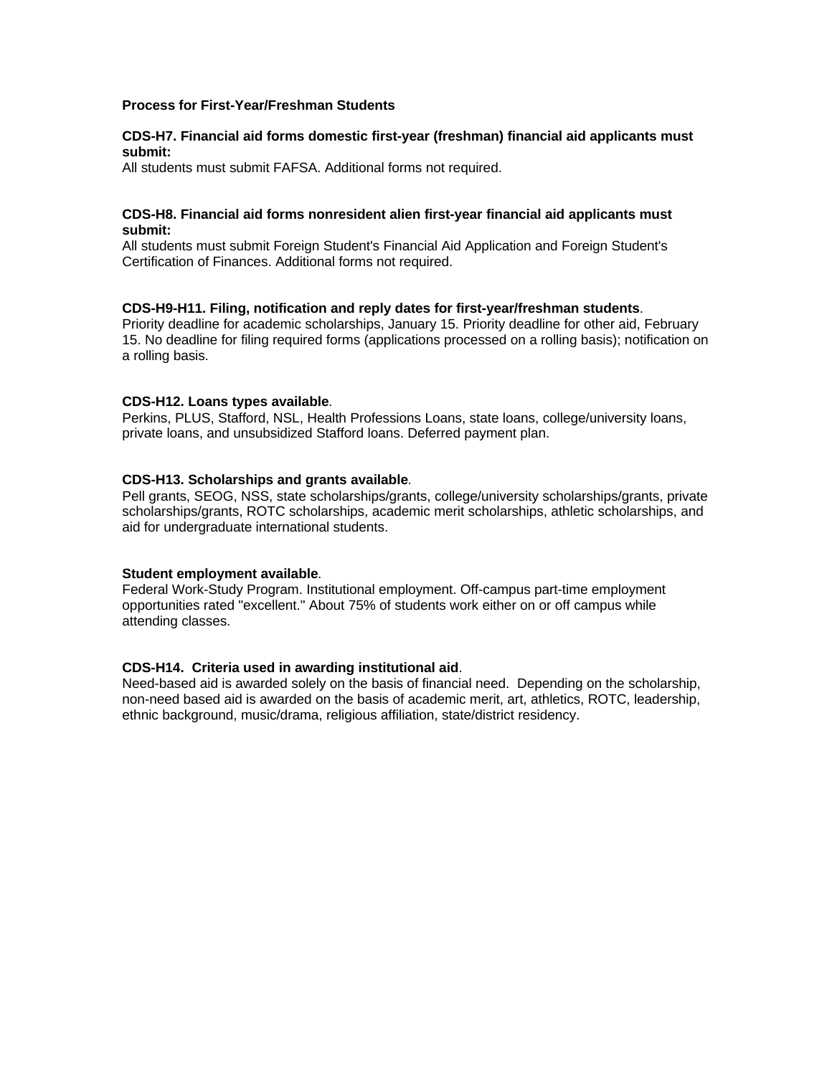# **Process for First-Year/Freshman Students**

# **CDS-H7. Financial aid forms domestic first-year (freshman) financial aid applicants must submit:**

All students must submit FAFSA. Additional forms not required.

#### **CDS-H8. Financial aid forms nonresident alien first-year financial aid applicants must submit:**

All students must submit Foreign Student's Financial Aid Application and Foreign Student's Certification of Finances. Additional forms not required.

#### **CDS-H9-H11. Filing, notification and reply dates for first-year/freshman students**.

Priority deadline for academic scholarships, January 15. Priority deadline for other aid, February 15. No deadline for filing required forms (applications processed on a rolling basis); notification on a rolling basis.

#### **CDS-H12. Loans types available**.

Perkins, PLUS, Stafford, NSL, Health Professions Loans, state loans, college/university loans, private loans, and unsubsidized Stafford loans. Deferred payment plan.

#### **CDS-H13. Scholarships and grants available**.

Pell grants, SEOG, NSS, state scholarships/grants, college/university scholarships/grants, private scholarships/grants, ROTC scholarships, academic merit scholarships, athletic scholarships, and aid for undergraduate international students.

#### **Student employment available**.

Federal Work-Study Program. Institutional employment. Off-campus part-time employment opportunities rated "excellent." About 75% of students work either on or off campus while attending classes.

#### **CDS-H14. Criteria used in awarding institutional aid**.

Need-based aid is awarded solely on the basis of financial need. Depending on the scholarship, non-need based aid is awarded on the basis of academic merit, art, athletics, ROTC, leadership, ethnic background, music/drama, religious affiliation, state/district residency.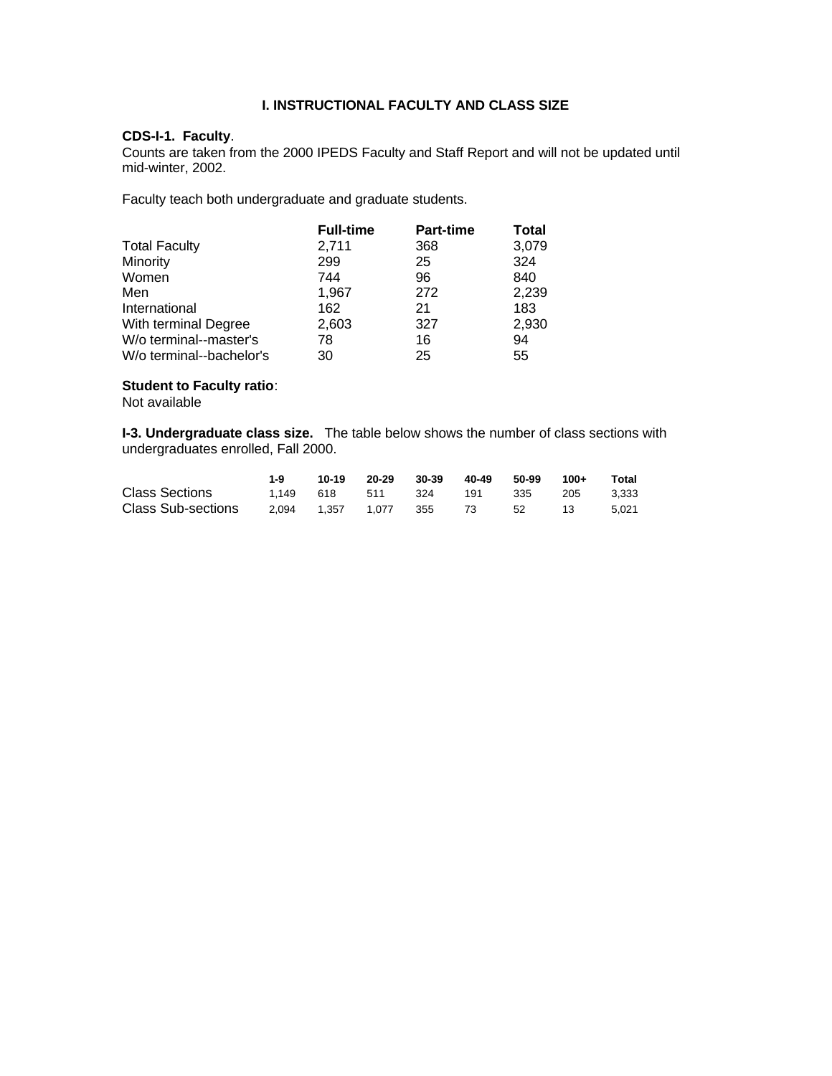# **I. INSTRUCTIONAL FACULTY AND CLASS SIZE**

# **CDS-I-1. Faculty**.

Counts are taken from the 2000 IPEDS Faculty and Staff Report and will not be updated until mid-winter, 2002.

Faculty teach both undergraduate and graduate students.

|                          | <b>Full-time</b> | <b>Part-time</b> | Total |
|--------------------------|------------------|------------------|-------|
| <b>Total Faculty</b>     | 2,711            | 368              | 3,079 |
| Minority                 | 299              | 25               | 324   |
| Women                    | 744              | 96               | 840   |
| Men                      | 1,967            | 272              | 2,239 |
| International            | 162              | 21               | 183   |
| With terminal Degree     | 2,603            | 327              | 2,930 |
| W/o terminal--master's   | 78               | 16               | 94    |
| W/o terminal--bachelor's | 30               | 25               | 55    |

# **Student to Faculty ratio**:

Not available

**I-3. Undergraduate class size.** The table below shows the number of class sections with undergraduates enrolled, Fall 2000.

|                       | 1-9               | 10-19             | 20-29 | 30-39 | 40-49 | 50-99 | $100+$ | Total |
|-----------------------|-------------------|-------------------|-------|-------|-------|-------|--------|-------|
| <b>Class Sections</b> |                   | 1.149 618 511 324 |       |       | 191   | - 335 | 205    | 3.333 |
| Class Sub-sections    | 2.094 1.357 1.077 |                   |       | 355   | 73 52 |       | -13    | 5.021 |